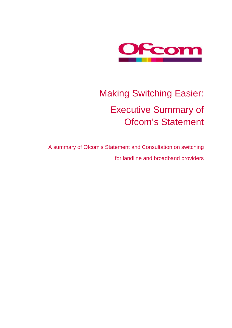

# Making Switching Easier: Executive Summary of Ofcom's Statement

A summary of Ofcom's Statement and Consultation on switching for landline and broadband providers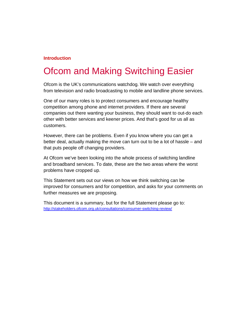#### **Introduction**

### Ofcom and Making Switching Easier

Ofcom is the UK's communications watchdog. We watch over everything from television and radio broadcasting to mobile and landline phone services.

One of our many roles is to protect consumers and encourage healthy competition among phone and internet providers. If there are several companies out there wanting your business, they should want to out-do each other with better services and keener prices. And that's good for us all as customers.

However, there can be problems. Even if you know where you can get a better deal, actually making the move can turn out to be a lot of hassle – and that puts people off changing providers.

At Ofcom we've been looking into the whole process of switching landline and broadband services. To date, these are the two areas where the worst problems have cropped up.

This Statement sets out our views on how we think switching can be improved for consumers and for competition, and asks for your comments on further measures we are proposing.

This document is a summary, but for the full Statement please go to: <http://stakeholders.ofcom.org.uk/consultations/consumer-switching-review/>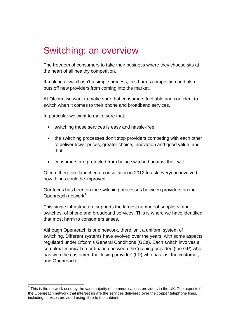### Switching: an overview

The freedom of consumers to take their business where they choose sits at the heart of all healthy competition.

If making a switch isn't a simple process, this harms competition and also puts off new providers from coming into the market.

At Ofcom, we want to make sure that consumers feel able and confident to switch when it comes to their phone and broadband services.

In particular we want to make sure that:

- switching those services is easy and hassle-free;
- the switching processes don't stop providers competing with each other to deliver lower prices, greater choice, innovation and good value; and that
- consumers are protected from being switched against their will.

Ofcom therefore launched a consultation in 2012 to ask everyone involved how things could be improved.

Our focus has been on the switching processes between providers on the Openreach network<sup>[1](#page-2-0)</sup>.

This single infrastructure supports the largest number of suppliers, and switches, of phone and broadband services. This is where we have identified that most harm to consumers arises.

Although Openreach is one network, there isn't a uniform system of switching. Different systems have evolved over the years, with some aspects regulated under Ofcom's General Conditions (GCs). Each switch involves a complex technical co-ordination between the 'gaining provider' (the GP) who has won the customer, the 'losing provider' (LP) who has lost the customer, and Openreach.

<span id="page-2-0"></span> $<sup>1</sup>$  This is the network used by the vast majority of communications providers in the UK. The aspects of</sup> the Openreach network that interest us are the services delivered over the copper telephone lines, including services provided using fibre to the cabinet.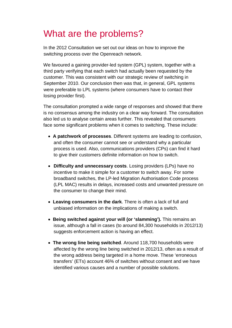### What are the problems?

In the 2012 Consultation we set out our ideas on how to improve the switching process over the Openreach network.

We favoured a gaining provider-led system (GPL) system, together with a third party verifying that each switch had actually been requested by the customer. This was consistent with our strategic review of switching in September 2010. Our conclusion then was that, in general, GPL systems were preferable to LPL systems (where consumers have to contact their losing provider first).

The consultation prompted a wide range of responses and showed that there is no consensus among the industry on a clear way forward. The consultation also led us to analyse certain areas further. This revealed that consumers face some significant problems when it comes to switching. These include:

- **A patchwork of processes**. Different systems are leading to confusion, and often the consumer cannot see or understand why a particular process is used. Also, communications providers (CPs) can find it hard to give their customers definite information on how to switch.
- **Difficulty and unnecessary costs**. Losing providers (LPs) have no incentive to make it simple for a customer to switch away. For some broadband switches, the LP-led Migration Authorisation Code process (LPL MAC) results in delays, increased costs and unwanted pressure on the consumer to change their mind.
- **Leaving consumers in the dark**. There is often a lack of full and unbiased information on the implications of making a switch.
- **Being switched against your will (or 'slamming').** This remains an issue, although a fall in cases (to around 84,300 households in 2012/13) suggests enforcement action is having an effect.
- **The wrong line being switched**. Around 118,700 households were affected by the wrong line being switched in 2012/13, often as a result of the wrong address being targeted in a home move. These 'erroneous transfers' (ETs) account 46% of switches without consent and we have identified various causes and a number of possible solutions.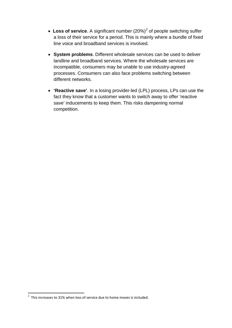- Loss of service. A significant number ([2](#page-4-0)0%)<sup>2</sup> of people switching suffer a loss of their service for a period. This is mainly where a bundle of fixed line voice and broadband services is involved.
- **System problems**. Different wholesale services can be used to deliver landline and broadband services. Where the wholesale services are incompatible, consumers may be unable to use industry-agreed processes. Consumers can also face problems switching between different networks.
- **'Reactive save'**. In a losing provider-led (LPL) process, LPs can use the fact they know that a customer wants to switch away to offer 'reactive save' inducements to keep them. This risks dampening normal competition.

<span id="page-4-0"></span> $\frac{1}{2}$  $2\degree$  This increases to 31% when loss of service due to home moves is included.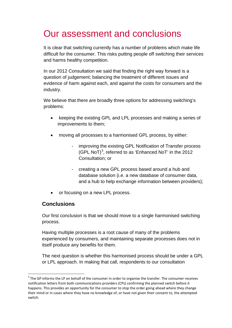## Our assessment and conclusions

It is clear that switching currently has a number of problems which make life difficult for the consumer. This risks putting people off switching their services and harms healthy competition.

In our 2012 Consultation we said that finding the right way forward is a question of judgement; balancing the treatment of different issues and evidence of harm against each, and against the costs for consumers and the industry.

We believe that there are broadly three options for addressing switching's problems:

- keeping the existing GPL and LPL processes and making a series of improvements to them;
- moving all processes to a harmonised GPL process, by either:
	- improving the existing GPL Notification of Transfer process (GPL NoT)<sup>[3](#page-5-0)</sup>, referred to as 'Enhanced NoT' in the 2012 Consultation; or
	- creating a new GPL process based around a hub and database solution (i.e. a new database of consumer data, and a hub to help exchange information between providers);
- or focusing on a new LPL process.

#### **Conclusions**

Our first conclusion is that we should move to a single harmonised switching process.

Having multiple processes is a root cause of many of the problems experienced by consumers, and maintaining separate processes does not in itself produce any benefits for them.

The next question is whether this harmonised process should be under a GPL or LPL approach. In making that call, respondents to our consultation

<span id="page-5-0"></span> $3$  The GP informs the LP on behalf of the consumer in order to organise the transfer. The consumer receives notification letters from both communications providers (CPs) confirming the planned switch before it happens. This provides an opportunity for the consumer to stop the order going ahead where they change their mind or in cases where they have no knowledge of, or have not given their consent to, the attempted switch.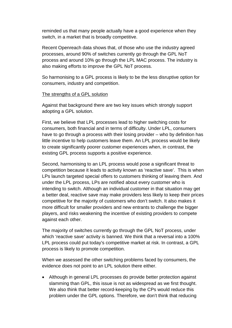reminded us that many people actually have a good experience when they switch, in a market that is broadly competitive.

Recent Openreach data shows that, of those who use the industry agreed processes, around 90% of switches currently go through the GPL NoT process and around 10% go through the LPL MAC process. The industry is also making efforts to improve the GPL NoT process.

So harmonising to a GPL process is likely to be the less disruptive option for consumers, industry and competition.

#### The strengths of a GPL solution

Against that background there are two key issues which strongly support adopting a GPL solution.

First, we believe that LPL processes lead to higher switching costs for consumers, both financial and in terms of difficulty. Under LPL, consumers have to go through a process with their losing provider – who by definition has little incentive to help customers leave them. An LPL process would be likely to create significantly poorer customer experiences when, in contrast, the existing GPL process supports a positive experience.

Second, harmonising to an LPL process would pose a significant threat to competition because it leads to activity known as 'reactive save'. This is when LPs launch targeted special offers to customers thinking of leaving them. And under the LPL process, LPs are notified about every customer who is intending to switch. Although an individual customer in that situation may get a better deal, reactive save may make providers less likely to keep their prices competitive for the majority of customers who don't switch. It also makes it more difficult for smaller providers and new entrants to challenge the bigger players, and risks weakening the incentive of existing providers to compete against each other.

The majority of switches currently go through the GPL NoT process, under which 'reactive save' activity is banned. We think that a reversal into a 100% LPL process could put today's competitive market at risk. In contrast, a GPL process is likely to promote competition.

When we assessed the other switching problems faced by consumers, the evidence does not point to an LPL solution there either.

• Although in general LPL processes do provide better protection against slamming than GPL, this issue is not as widespread as we first thought. We also think that better record-keeping by the CPs would reduce this problem under the GPL options. Therefore, we don't think that reducing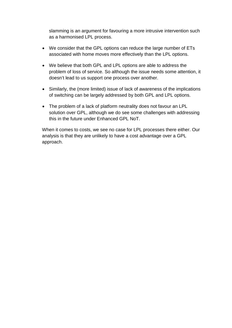slamming is an argument for favouring a more intrusive intervention such as a harmonised LPL process.

- We consider that the GPL options can reduce the large number of ETs associated with home moves more effectively than the LPL options.
- We believe that both GPL and LPL options are able to address the problem of loss of service. So although the issue needs some attention, it doesn't lead to us support one process over another.
- Similarly, the (more limited) issue of lack of awareness of the implications of switching can be largely addressed by both GPL and LPL options.
- The problem of a lack of platform neutrality does not favour an LPL solution over GPL, although we do see some challenges with addressing this in the future under Enhanced GPL NoT.

When it comes to costs, we see no case for LPL processes there either. Our analysis is that they are unlikely to have a cost advantage over a GPL approach.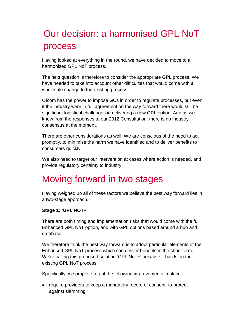# Our decision: a harmonised GPL NoT process

Having looked at everything in the round, we have decided to move to a harmonised GPL NoT process.

The next question is therefore to consider the appropriate GPL process. We have needed to take into account other difficulties that would come with a wholesale change to the existing process.

Ofcom has the power to impose GCs in order to regulate processes, but even if the industry were in full agreement on the way forward there would still be significant logistical challenges in delivering a new GPL option. And as we know from the responses to our 2012 Consultation, there is no industry consensus at the moment.

There are other considerations as well. We are conscious of the need to act promptly, to minimise the harm we have identified and to deliver benefits to consumers quickly.

We also need to target our intervention at cases where action is needed, and provide regulatory certainty to industry.

### Moving forward in two stages

Having weighed up all of these factors we believe the best way forward lies in a two-stage approach.

#### **Stage 1: 'GPL NOT+'**

There are both timing and implementation risks that would come with the full Enhanced GPL NoT option, and with GPL options based around a hub and database.

We therefore think the best way forward is to adopt particular elements of the Enhanced GPL NoT process which can deliver benefits in the short-term. We're calling this proposed solution 'GPL NoT+' because it builds on the existing GPL NoT process.

Specifically, we propose to put the following improvements in place:

• require providers to keep a mandatory record of consent, to protect against slamming;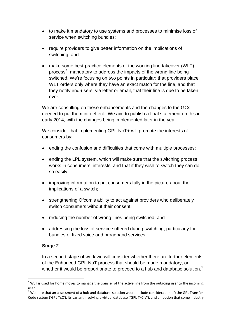- to make it mandatory to use systems and processes to minimise loss of service when switching bundles;
- require providers to give better information on the implications of switching; and
- make some best-practice elements of the working line takeover (WLT) process<sup>[4](#page-9-0)</sup> mandatory to address the impacts of the wrong line being switched. We're focusing on two points in particular: that providers place WLT orders only where they have an exact match for the line, and that they notify end-users, via letter or email, that their line is due to be taken over.

We are consulting on these enhancements and the changes to the GCs needed to put them into effect. We aim to publish a final statement on this in early 2014, with the changes being implemented later in the year.

We consider that implementing GPL NoT+ will promote the interests of consumers by:

- ending the confusion and difficulties that come with multiple processes;
- ending the LPL system, which will make sure that the switching process works in consumers' interests, and that if they wish to switch they can do so easily;
- improving information to put consumers fully in the picture about the implications of a switch;
- strengthening Ofcom's ability to act against providers who deliberately switch consumers without their consent;
- reducing the number of wrong lines being switched; and
- addressing the loss of service suffered during switching, particularly for bundles of fixed voice and broadband services.

#### **Stage 2**

In a second stage of work we will consider whether there are further elements of the Enhanced GPL NoT process that should be made mandatory, or whether it would be proportionate to proceed to a hub and database solution.<sup>[5](#page-9-1)</sup>

<span id="page-9-0"></span> $4$  WLT is used for home moves to manage the transfer of the active line from the outgoing user to the incoming user.

<span id="page-9-1"></span><sup>&</sup>lt;sup>5</sup> We note that an assessment of a hub and database solution would include consideration of: the GPL Transfer Code system ('GPL TxC'), its variant involving a virtual database ('GPL TxC-V'), and an option that some industry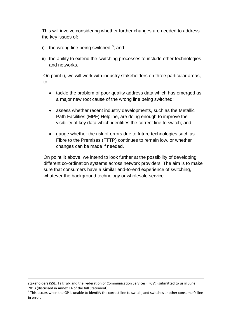This will involve considering whether further changes are needed to address the key issues of:

- i) the wrong line being switched  $6$ ; and
- ii) the ability to extend the switching processes to include other technologies and networks.

On point i), we will work with industry stakeholders on three particular areas, to:

- tackle the problem of poor quality address data which has emerged as a major new root cause of the wrong line being switched;
- assess whether recent industry developments, such as the Metallic Path Facilities (MPF) Helpline, are doing enough to improve the visibility of key data which identifies the correct line to switch; and
- gauge whether the risk of errors due to future technologies such as Fibre to the Premises (FTTP) continues to remain low, or whether changes can be made if needed.

On point ii) above, we intend to look further at the possibility of developing different co-ordination systems across network providers. The aim is to make sure that consumers have a similar end-to-end experience of switching, whatever the background technology or wholesale service.

-

stakeholders (SSE, TalkTalk and the Federation of Communication Services ('FCS')) submitted to us in June

<span id="page-10-0"></span><sup>2013 (</sup>discussed in Annex 14 of the full Statement).<br> $6$  This occurs when the GP is unable to identify the correct line to switch, and switches another consumer's line in error.